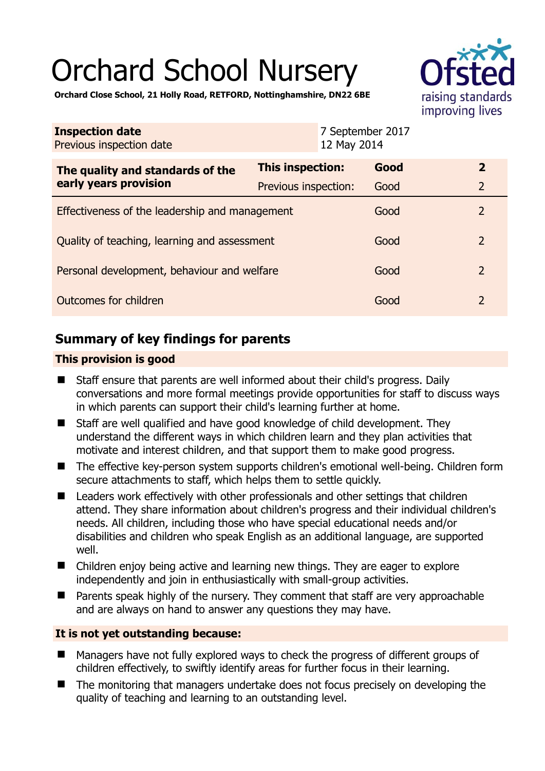# Orchard School Nursery



**Orchard Close School, 21 Holly Road, RETFORD, Nottinghamshire, DN22 6BE** 

| <b>Inspection date</b><br>Previous inspection date        | 12 May 2014          | 7 September 2017 |                |
|-----------------------------------------------------------|----------------------|------------------|----------------|
| The quality and standards of the<br>early years provision | This inspection:     | Good             | $\overline{2}$ |
|                                                           | Previous inspection: | Good             | $\overline{2}$ |
| Effectiveness of the leadership and management            |                      | Good             | 2              |
| Quality of teaching, learning and assessment              |                      | Good             | $\overline{2}$ |
| Personal development, behaviour and welfare               |                      | Good             | $\overline{2}$ |
| Outcomes for children                                     |                      | Good             | 2              |

# **Summary of key findings for parents**

## **This provision is good**

- Staff ensure that parents are well informed about their child's progress. Daily conversations and more formal meetings provide opportunities for staff to discuss ways in which parents can support their child's learning further at home.
- Staff are well qualified and have good knowledge of child development. They understand the different ways in which children learn and they plan activities that motivate and interest children, and that support them to make good progress.
- The effective key-person system supports children's emotional well-being. Children form secure attachments to staff, which helps them to settle quickly.
- Leaders work effectively with other professionals and other settings that children attend. They share information about children's progress and their individual children's needs. All children, including those who have special educational needs and/or disabilities and children who speak English as an additional language, are supported well.
- Children enjoy being active and learning new things. They are eager to explore independently and join in enthusiastically with small-group activities.
- Parents speak highly of the nursery. They comment that staff are very approachable and are always on hand to answer any questions they may have.

## **It is not yet outstanding because:**

- Managers have not fully explored ways to check the progress of different groups of children effectively, to swiftly identify areas for further focus in their learning.
- The monitoring that managers undertake does not focus precisely on developing the quality of teaching and learning to an outstanding level.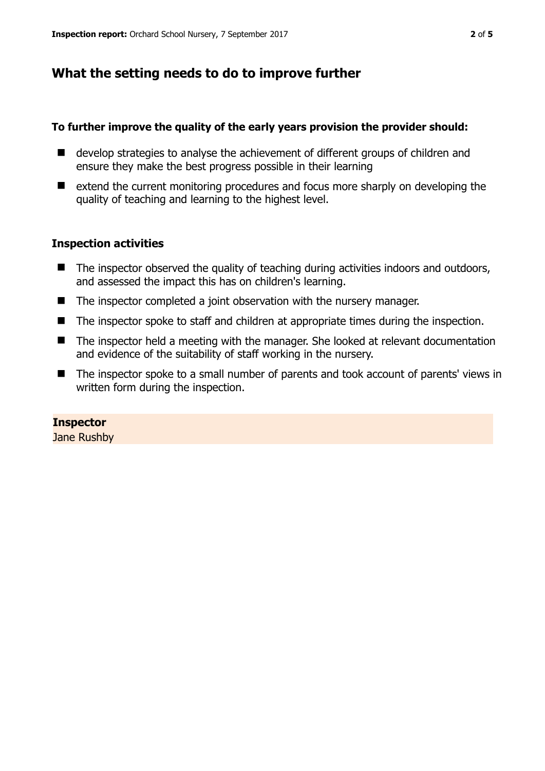## **What the setting needs to do to improve further**

#### **To further improve the quality of the early years provision the provider should:**

- develop strategies to analyse the achievement of different groups of children and ensure they make the best progress possible in their learning
- extend the current monitoring procedures and focus more sharply on developing the quality of teaching and learning to the highest level.

#### **Inspection activities**

- The inspector observed the quality of teaching during activities indoors and outdoors, and assessed the impact this has on children's learning.
- The inspector completed a joint observation with the nursery manager.
- The inspector spoke to staff and children at appropriate times during the inspection.
- The inspector held a meeting with the manager. She looked at relevant documentation and evidence of the suitability of staff working in the nursery.
- The inspector spoke to a small number of parents and took account of parents' views in written form during the inspection.

#### **Inspector**

Jane Rushby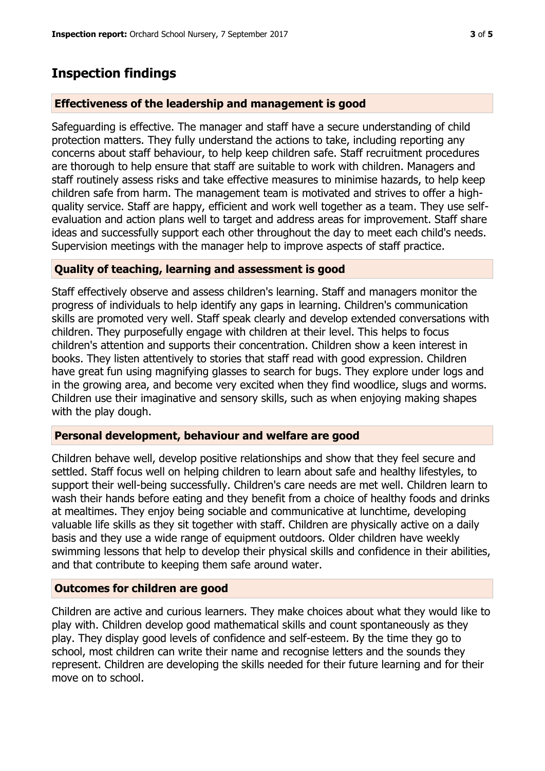# **Inspection findings**

#### **Effectiveness of the leadership and management is good**

Safeguarding is effective. The manager and staff have a secure understanding of child protection matters. They fully understand the actions to take, including reporting any concerns about staff behaviour, to help keep children safe. Staff recruitment procedures are thorough to help ensure that staff are suitable to work with children. Managers and staff routinely assess risks and take effective measures to minimise hazards, to help keep children safe from harm. The management team is motivated and strives to offer a highquality service. Staff are happy, efficient and work well together as a team. They use selfevaluation and action plans well to target and address areas for improvement. Staff share ideas and successfully support each other throughout the day to meet each child's needs. Supervision meetings with the manager help to improve aspects of staff practice.

#### **Quality of teaching, learning and assessment is good**

Staff effectively observe and assess children's learning. Staff and managers monitor the progress of individuals to help identify any gaps in learning. Children's communication skills are promoted very well. Staff speak clearly and develop extended conversations with children. They purposefully engage with children at their level. This helps to focus children's attention and supports their concentration. Children show a keen interest in books. They listen attentively to stories that staff read with good expression. Children have great fun using magnifying glasses to search for bugs. They explore under logs and in the growing area, and become very excited when they find woodlice, slugs and worms. Children use their imaginative and sensory skills, such as when enjoying making shapes with the play dough.

#### **Personal development, behaviour and welfare are good**

Children behave well, develop positive relationships and show that they feel secure and settled. Staff focus well on helping children to learn about safe and healthy lifestyles, to support their well-being successfully. Children's care needs are met well. Children learn to wash their hands before eating and they benefit from a choice of healthy foods and drinks at mealtimes. They enjoy being sociable and communicative at lunchtime, developing valuable life skills as they sit together with staff. Children are physically active on a daily basis and they use a wide range of equipment outdoors. Older children have weekly swimming lessons that help to develop their physical skills and confidence in their abilities, and that contribute to keeping them safe around water.

## **Outcomes for children are good**

Children are active and curious learners. They make choices about what they would like to play with. Children develop good mathematical skills and count spontaneously as they play. They display good levels of confidence and self-esteem. By the time they go to school, most children can write their name and recognise letters and the sounds they represent. Children are developing the skills needed for their future learning and for their move on to school.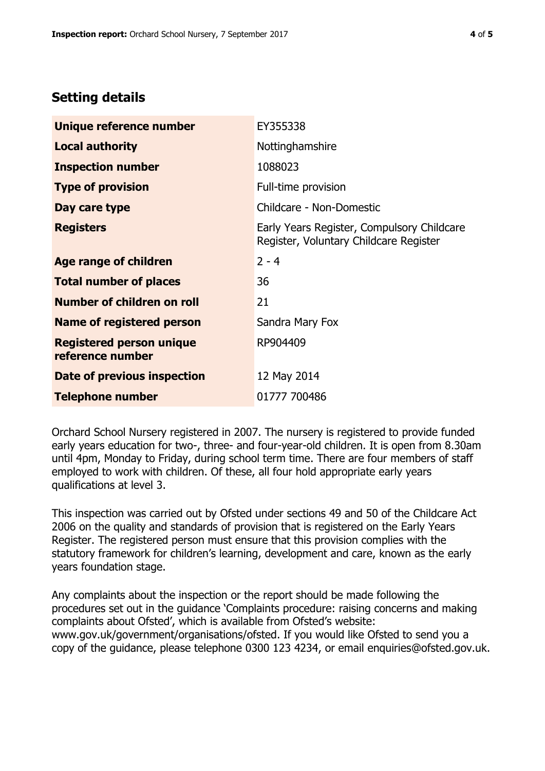# **Setting details**

| Unique reference number                             | EY355338                                                                             |  |
|-----------------------------------------------------|--------------------------------------------------------------------------------------|--|
| <b>Local authority</b>                              | Nottinghamshire                                                                      |  |
| <b>Inspection number</b>                            | 1088023                                                                              |  |
| <b>Type of provision</b>                            | Full-time provision                                                                  |  |
| Day care type                                       | Childcare - Non-Domestic                                                             |  |
| <b>Registers</b>                                    | Early Years Register, Compulsory Childcare<br>Register, Voluntary Childcare Register |  |
| Age range of children                               | $2 - 4$                                                                              |  |
| <b>Total number of places</b>                       | 36                                                                                   |  |
| Number of children on roll                          | 21                                                                                   |  |
| Name of registered person                           | Sandra Mary Fox                                                                      |  |
| <b>Registered person unique</b><br>reference number | RP904409                                                                             |  |
| Date of previous inspection                         | 12 May 2014                                                                          |  |
| <b>Telephone number</b>                             | 01777 700486                                                                         |  |

Orchard School Nursery registered in 2007. The nursery is registered to provide funded early years education for two-, three- and four-year-old children. It is open from 8.30am until 4pm, Monday to Friday, during school term time. There are four members of staff employed to work with children. Of these, all four hold appropriate early years qualifications at level 3.

This inspection was carried out by Ofsted under sections 49 and 50 of the Childcare Act 2006 on the quality and standards of provision that is registered on the Early Years Register. The registered person must ensure that this provision complies with the statutory framework for children's learning, development and care, known as the early years foundation stage.

Any complaints about the inspection or the report should be made following the procedures set out in the guidance 'Complaints procedure: raising concerns and making complaints about Ofsted', which is available from Ofsted's website: www.gov.uk/government/organisations/ofsted. If you would like Ofsted to send you a copy of the guidance, please telephone 0300 123 4234, or email enquiries@ofsted.gov.uk.